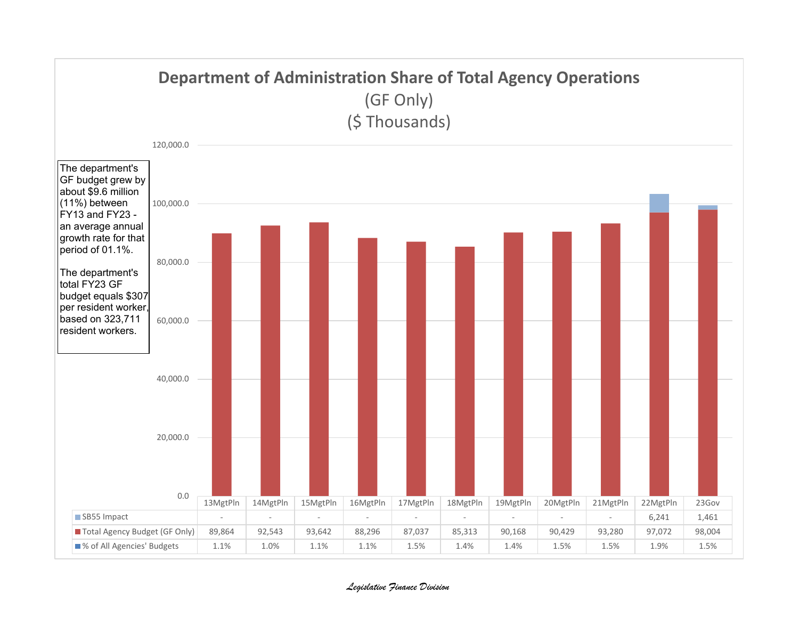

## *Legislative Finance Division*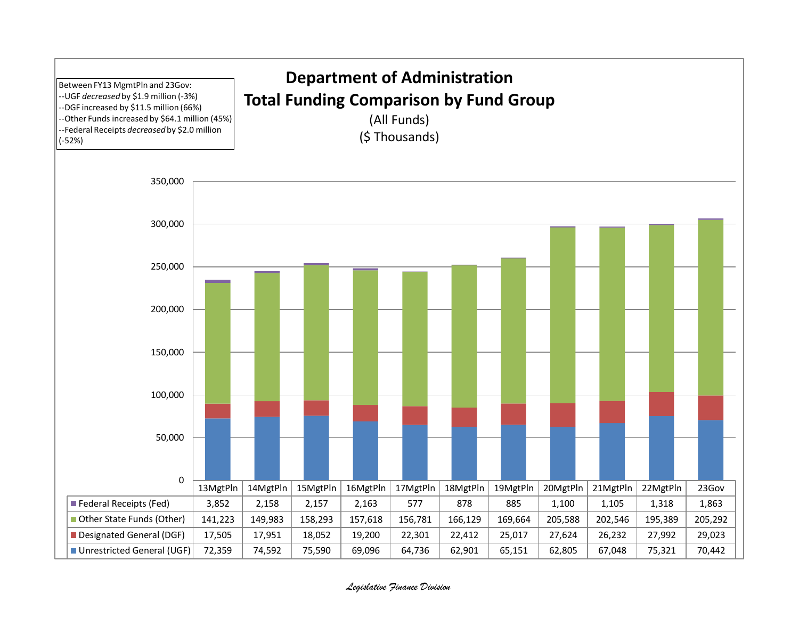

## *Legislative Finance Division*